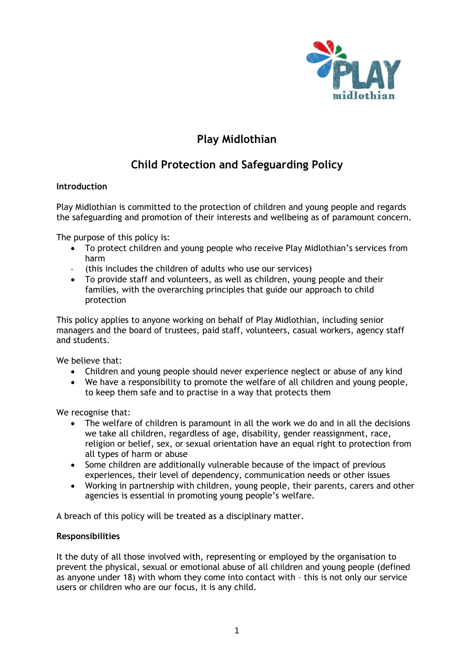

## **Play Midlothian**

# **Child Protection and Safeguarding Policy**

## **Introduction**

Play Midlothian is committed to the protection of children and young people and regards the safeguarding and promotion of their interests and wellbeing as of paramount concern.

The purpose of this policy is:

- To protect children and young people who receive Play Midlothian's services from harm
- (this includes the children of adults who use our services)
- To provide staff and volunteers, as well as children, young people and their families, with the overarching principles that guide our approach to child protection

This policy applies to anyone working on behalf of Play Midlothian, including senior managers and the board of trustees, paid staff, volunteers, casual workers, agency staff and students.

We believe that:

- Children and young people should never experience neglect or abuse of any kind
- We have a responsibility to promote the welfare of all children and young people, to keep them safe and to practise in a way that protects them

We recognise that:

- The welfare of children is paramount in all the work we do and in all the decisions we take all children, regardless of age, disability, gender reassignment, race, religion or belief, sex, or sexual orientation have an equal right to protection from all types of harm or abuse
- Some children are additionally vulnerable because of the impact of previous experiences, their level of dependency, communication needs or other issues
- Working in partnership with children, young people, their parents, carers and other agencies is essential in promoting young people's welfare.

A breach of this policy will be treated as a disciplinary matter.

### **Responsibilities**

It the duty of all those involved with, representing or employed by the organisation to prevent the physical, sexual or emotional abuse of all children and young people (defined as anyone under 18) with whom they come into contact with – this is not only our service users or children who are our focus, it is any child.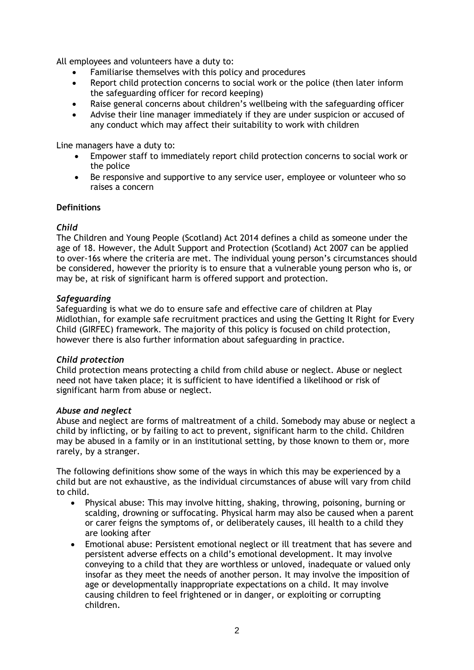All employees and volunteers have a duty to:

- Familiarise themselves with this policy and procedures
- Report child protection concerns to social work or the police (then later inform the safeguarding officer for record keeping)
- Raise general concerns about children's wellbeing with the safeguarding officer
- Advise their line manager immediately if they are under suspicion or accused of any conduct which may affect their suitability to work with children

Line managers have a duty to:

- Empower staff to immediately report child protection concerns to social work or the police
- Be responsive and supportive to any service user, employee or volunteer who so raises a concern

### **Definitions**

### *Child*

The Children and Young People (Scotland) Act 2014 defines a child as someone under the age of 18. However, the Adult Support and Protection (Scotland) Act 2007 can be applied to over-16s where the criteria are met. The individual young person's circumstances should be considered, however the priority is to ensure that a vulnerable young person who is, or may be, at risk of significant harm is offered support and protection.

#### *Safeguarding*

Safeguarding is what we do to ensure safe and effective care of children at Play Midlothian, for example safe recruitment practices and using the Getting It Right for Every Child (GIRFEC) framework. The majority of this policy is focused on child protection, however there is also further information about safeguarding in practice.

### *Child protection*

Child protection means protecting a child from child abuse or neglect. Abuse or neglect need not have taken place; it is sufficient to have identified a likelihood or risk of significant harm from abuse or neglect.

#### *Abuse and neglect*

Abuse and neglect are forms of maltreatment of a child. Somebody may abuse or neglect a child by inflicting, or by failing to act to prevent, significant harm to the child. Children may be abused in a family or in an institutional setting, by those known to them or, more rarely, by a stranger.

The following definitions show some of the ways in which this may be experienced by a child but are not exhaustive, as the individual circumstances of abuse will vary from child to child.

- Physical abuse: This may involve hitting, shaking, throwing, poisoning, burning or scalding, drowning or suffocating. Physical harm may also be caused when a parent or carer feigns the symptoms of, or deliberately causes, ill health to a child they are looking after
- Emotional abuse: Persistent emotional neglect or ill treatment that has severe and persistent adverse effects on a child's emotional development. It may involve conveying to a child that they are worthless or unloved, inadequate or valued only insofar as they meet the needs of another person. It may involve the imposition of age or developmentally inappropriate expectations on a child. It may involve causing children to feel frightened or in danger, or exploiting or corrupting children.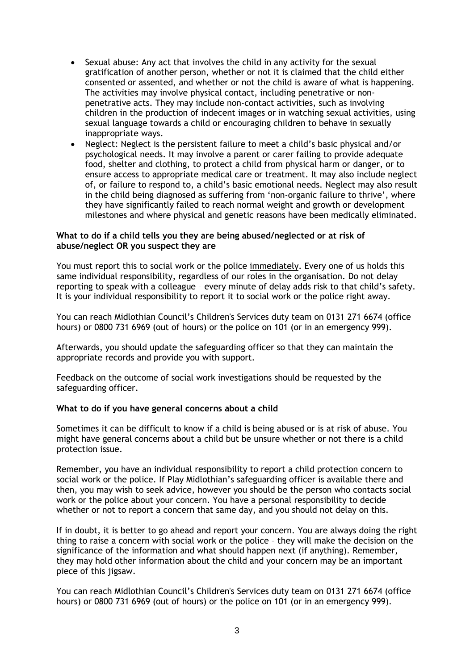- Sexual abuse: Any act that involves the child in any activity for the sexual gratification of another person, whether or not it is claimed that the child either consented or assented, and whether or not the child is aware of what is happening. The activities may involve physical contact, including penetrative or nonpenetrative acts. They may include non-contact activities, such as involving children in the production of indecent images or in watching sexual activities, using sexual language towards a child or encouraging children to behave in sexually inappropriate ways.
- Neglect: Neglect is the persistent failure to meet a child's basic physical and/or psychological needs. It may involve a parent or carer failing to provide adequate food, shelter and clothing, to protect a child from physical harm or danger, or to ensure access to appropriate medical care or treatment. It may also include neglect of, or failure to respond to, a child's basic emotional needs. Neglect may also result in the child being diagnosed as suffering from 'non-organic failure to thrive', where they have significantly failed to reach normal weight and growth or development milestones and where physical and genetic reasons have been medically eliminated.

#### **What to do if a child tells you they are being abused/neglected or at risk of abuse/neglect OR you suspect they are**

You must report this to social work or the police immediately. Every one of us holds this same individual responsibility, regardless of our roles in the organisation. Do not delay reporting to speak with a colleague – every minute of delay adds risk to that child's safety. It is your individual responsibility to report it to social work or the police right away.

You can reach Midlothian Council's Children's Services duty team on 0131 271 6674 (office hours) or 0800 731 6969 (out of hours) or the police on 101 (or in an emergency 999).

Afterwards, you should update the safeguarding officer so that they can maintain the appropriate records and provide you with support.

Feedback on the outcome of social work investigations should be requested by the safeguarding officer.

### **What to do if you have general concerns about a child**

Sometimes it can be difficult to know if a child is being abused or is at risk of abuse. You might have general concerns about a child but be unsure whether or not there is a child protection issue.

Remember, you have an individual responsibility to report a child protection concern to social work or the police. If Play Midlothian's safeguarding officer is available there and then, you may wish to seek advice, however you should be the person who contacts social work or the police about your concern. You have a personal responsibility to decide whether or not to report a concern that same day, and you should not delay on this.

If in doubt, it is better to go ahead and report your concern. You are always doing the right thing to raise a concern with social work or the police – they will make the decision on the significance of the information and what should happen next (if anything). Remember, they may hold other information about the child and your concern may be an important piece of this jigsaw.

You can reach Midlothian Council's Children's Services duty team on 0131 271 6674 (office hours) or 0800 731 6969 (out of hours) or the police on 101 (or in an emergency 999).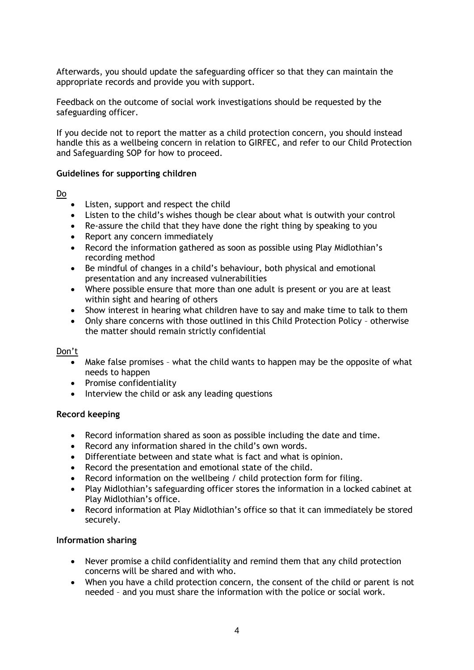Afterwards, you should update the safeguarding officer so that they can maintain the appropriate records and provide you with support.

Feedback on the outcome of social work investigations should be requested by the safeguarding officer.

If you decide not to report the matter as a child protection concern, you should instead handle this as a wellbeing concern in relation to GIRFEC, and refer to our Child Protection and Safeguarding SOP for how to proceed.

#### **Guidelines for supporting children**

Do

- Listen, support and respect the child
- Listen to the child's wishes though be clear about what is outwith your control
- Re-assure the child that they have done the right thing by speaking to you
- Report any concern immediately
- Record the information gathered as soon as possible using Play Midlothian's recording method
- Be mindful of changes in a child's behaviour, both physical and emotional presentation and any increased vulnerabilities
- Where possible ensure that more than one adult is present or you are at least within sight and hearing of others
- Show interest in hearing what children have to say and make time to talk to them
- Only share concerns with those outlined in this Child Protection Policy otherwise the matter should remain strictly confidential

#### Don't

- Make false promises what the child wants to happen may be the opposite of what needs to happen
- Promise confidentiality
- Interview the child or ask any leading questions

#### **Record keeping**

- Record information shared as soon as possible including the date and time.
- Record any information shared in the child's own words.
- Differentiate between and state what is fact and what is opinion.
- Record the presentation and emotional state of the child.
- Record information on the wellbeing / child protection form for filing.
- Play Midlothian's safeguarding officer stores the information in a locked cabinet at Play Midlothian's office.
- Record information at Play Midlothian's office so that it can immediately be stored securely.

#### **Information sharing**

- Never promise a child confidentiality and remind them that any child protection concerns will be shared and with who.
- When you have a child protection concern, the consent of the child or parent is not needed – and you must share the information with the police or social work.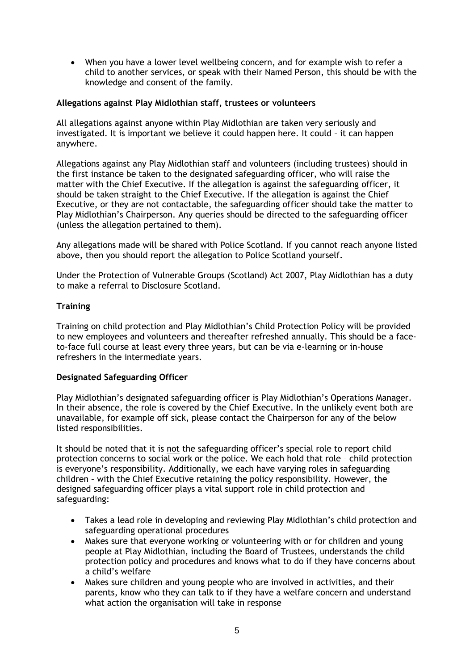• When you have a lower level wellbeing concern, and for example wish to refer a child to another services, or speak with their Named Person, this should be with the knowledge and consent of the family.

### **Allegations against Play Midlothian staff, trustees or volunteers**

All allegations against anyone within Play Midlothian are taken very seriously and investigated. It is important we believe it could happen here. It could – it can happen anywhere.

Allegations against any Play Midlothian staff and volunteers (including trustees) should in the first instance be taken to the designated safeguarding officer, who will raise the matter with the Chief Executive. If the allegation is against the safeguarding officer, it should be taken straight to the Chief Executive. If the allegation is against the Chief Executive, or they are not contactable, the safeguarding officer should take the matter to Play Midlothian's Chairperson. Any queries should be directed to the safeguarding officer (unless the allegation pertained to them).

Any allegations made will be shared with Police Scotland. If you cannot reach anyone listed above, then you should report the allegation to Police Scotland yourself.

Under the Protection of Vulnerable Groups (Scotland) Act 2007, Play Midlothian has a duty to make a referral to Disclosure Scotland.

## **Training**

Training on child protection and Play Midlothian's Child Protection Policy will be provided to new employees and volunteers and thereafter refreshed annually. This should be a faceto-face full course at least every three years, but can be via e-learning or in-house refreshers in the intermediate years.

### **Designated Safeguarding Officer**

Play Midlothian's designated safeguarding officer is Play Midlothian's Operations Manager. In their absence, the role is covered by the Chief Executive. In the unlikely event both are unavailable, for example off sick, please contact the Chairperson for any of the below listed responsibilities.

It should be noted that it is not the safeguarding officer's special role to report child protection concerns to social work or the police. We each hold that role – child protection is everyone's responsibility. Additionally, we each have varying roles in safeguarding children – with the Chief Executive retaining the policy responsibility. However, the designed safeguarding officer plays a vital support role in child protection and safeguarding:

- Takes a lead role in developing and reviewing Play Midlothian's child protection and safeguarding operational procedures
- Makes sure that everyone working or volunteering with or for children and young people at Play Midlothian, including the Board of Trustees, understands the child protection policy and procedures and knows what to do if they have concerns about a child's welfare
- Makes sure children and young people who are involved in activities, and their parents, know who they can talk to if they have a welfare concern and understand what action the organisation will take in response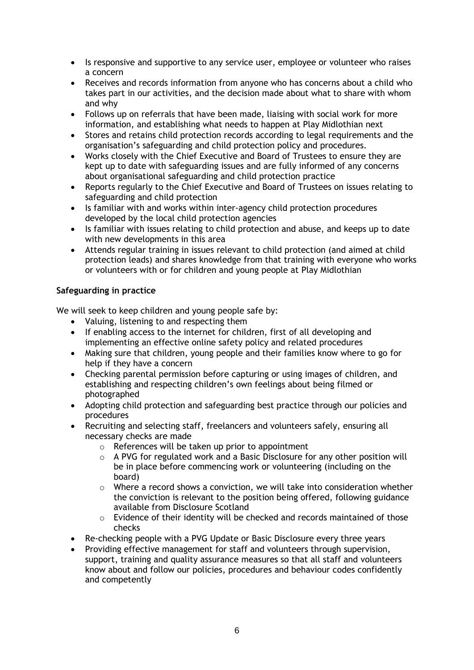- Is responsive and supportive to any service user, employee or volunteer who raises a concern
- Receives and records information from anyone who has concerns about a child who takes part in our activities, and the decision made about what to share with whom and why
- Follows up on referrals that have been made, liaising with social work for more information, and establishing what needs to happen at Play Midlothian next
- Stores and retains child protection records according to legal requirements and the organisation's safeguarding and child protection policy and procedures.
- Works closely with the Chief Executive and Board of Trustees to ensure they are kept up to date with safeguarding issues and are fully informed of any concerns about organisational safeguarding and child protection practice
- Reports regularly to the Chief Executive and Board of Trustees on issues relating to safeguarding and child protection
- Is familiar with and works within inter-agency child protection procedures developed by the local child protection agencies
- Is familiar with issues relating to child protection and abuse, and keeps up to date with new developments in this area
- Attends regular training in issues relevant to child protection (and aimed at child protection leads) and shares knowledge from that training with everyone who works or volunteers with or for children and young people at Play Midlothian

## **Safeguarding in practice**

We will seek to keep children and young people safe by:

- Valuing, listening to and respecting them
- If enabling access to the internet for children, first of all developing and implementing an effective online safety policy and related procedures
- Making sure that children, young people and their families know where to go for help if they have a concern
- Checking parental permission before capturing or using images of children, and establishing and respecting children's own feelings about being filmed or photographed
- Adopting child protection and safeguarding best practice through our policies and procedures
- Recruiting and selecting staff, freelancers and volunteers safely, ensuring all necessary checks are made
	- o References will be taken up prior to appointment
	- o A PVG for regulated work and a Basic Disclosure for any other position will be in place before commencing work or volunteering (including on the board)
	- o Where a record shows a conviction, we will take into consideration whether the conviction is relevant to the position being offered, following guidance available from Disclosure Scotland
	- o Evidence of their identity will be checked and records maintained of those checks
- Re-checking people with a PVG Update or Basic Disclosure every three years
- Providing effective management for staff and volunteers through supervision, support, training and quality assurance measures so that all staff and volunteers know about and follow our policies, procedures and behaviour codes confidently and competently